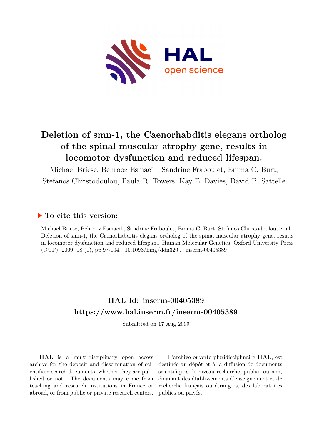

# **Deletion of smn-1, the Caenorhabditis elegans ortholog of the spinal muscular atrophy gene, results in locomotor dysfunction and reduced lifespan.**

Michael Briese, Behrooz Esmaeili, Sandrine Fraboulet, Emma C. Burt, Stefanos Christodoulou, Paula R. Towers, Kay E. Davies, David B. Sattelle

## **To cite this version:**

Michael Briese, Behrooz Esmaeili, Sandrine Fraboulet, Emma C. Burt, Stefanos Christodoulou, et al.. Deletion of smn-1, the Caenorhabditis elegans ortholog of the spinal muscular atrophy gene, results in locomotor dysfunction and reduced lifespan.. Human Molecular Genetics, Oxford University Press (OUP), 2009, 18 (1), pp.97-104.  $10.1093/hmg/ddn320$ . inserm-00405389

# **HAL Id: inserm-00405389 <https://www.hal.inserm.fr/inserm-00405389>**

Submitted on 17 Aug 2009

**HAL** is a multi-disciplinary open access archive for the deposit and dissemination of scientific research documents, whether they are published or not. The documents may come from teaching and research institutions in France or abroad, or from public or private research centers.

L'archive ouverte pluridisciplinaire **HAL**, est destinée au dépôt et à la diffusion de documents scientifiques de niveau recherche, publiés ou non, émanant des établissements d'enseignement et de recherche français ou étrangers, des laboratoires publics ou privés.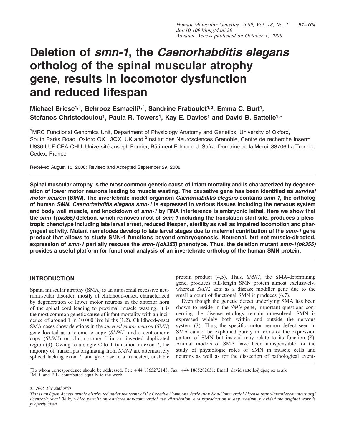# Deletion of smn-1, the Caenorhabditis elegans ortholog of the spinal muscular atrophy gene, results in locomotor dysfunction and reduced lifespan

## Michael Briese<sup>1,†</sup>, Behrooz Esmaeili<sup>1,†</sup>, Sandrine Fraboulet<sup>1,2</sup>, Emma C. Burt<sup>1</sup>, Stefanos Christodoulou<sup>1</sup>, Paula R. Towers<sup>1</sup>, Kay E. Davies<sup>1</sup> and David B. Sattelle<sup>1,\*</sup>

<sup>1</sup>MRC Functional Genomics Unit, Department of Physiology Anatomy and Genetics, University of Oxford, South Parks Road, Oxford OX1 3QX, UK and <sup>2</sup>Institut des Neurosciences Grenoble, Centre de recherche Inserm U836-UJF-CEA-CHU, Université Joseph Fourier, Bâtiment Edmond J. Safra, Domaine de la Merci, 38706 La Tronche Cedex, France

Received August 15, 2008; Revised and Accepted September 29, 2008

Spinal muscular atrophy is the most common genetic cause of infant mortality and is characterized by degeneration of lower motor neurons leading to muscle wasting. The causative gene has been identified as survival motor neuron (SMN). The invertebrate model organism Caenorhabditis elegans contains smn-1, the ortholog of human SMN. Caenorhabditis elegans smn-1 is expressed in various tissues including the nervous system and body wall muscle, and knockdown of smn-1 by RNA interference is embryonic lethal. Here we show that the smn-1(ok355) deletion, which removes most of smn-1 including the translation start site, produces a pleiotropic phenotype including late larval arrest, reduced lifespan, sterility as well as impaired locomotion and pharyngeal activity. Mutant nematodes develop to late larval stages due to maternal contribution of the smn-1 gene product that allows to study SMN-1 functions beyond embryogenesis. Neuronal, but not muscle-directed, expression of smn-1 partially rescues the smn-1(ok355) phenotype. Thus, the deletion mutant smn-1(ok355) provides a useful platform for functional analysis of an invertebrate ortholog of the human SMN protein.

## INTRODUCTION

Spinal muscular atrophy (SMA) is an autosomal recessive neuromuscular disorder, mostly of childhood-onset, characterized by degeneration of lower motor neurons in the anterior horn of the spinal cord leading to proximal muscle wasting. It is the most common genetic cause of infant mortality with an incidence of around 1 in 10 000 live births (1,2). Childhood-onset SMA cases show deletions in the survival motor neuron (SMN) gene located as a telomeric copy (SMN1) and a centromeric copy (SMN2) on chromosome 5 in an inverted duplicated region (3). Owing to a single C-to-T transition in exon 7, the majority of transcripts originating from SMN2 are alternatively spliced lacking exon 7, and give rise to a truncated, unstable

protein product (4,5). Thus, SMN1, the SMA-determining gene, produces full-length SMN protein almost exclusively, whereas SMN2 acts as a disease modifier gene due to the small amount of functional SMN it produces  $(6,7)$ .

Even though the genetic defect underlying SMA has been shown to reside in the SMN gene, important questions concerning the disease etiology remain unresolved. SMN is expressed widely both within and outside the nervous system (3). Thus, the specific motor neuron defect seen in SMA cannot be explained purely in terms of the expression pattern of SMN but instead may relate to its function (8). Animal models of SMA have been indispensable for the study of physiologic roles of SMN in muscle cells and neurons as well as for the dissection of pathological events

<sup>†</sup>M.B. and B.E. contributed equally to the work. \*To whom correspondence should be addressed. Tel: +44 1865272145; Fax: +44 1865282651; Email: david.sattelle@dpag.ox.ac.uk

 $\odot$  2008 The Author(s)

This is an Open Access article distributed under the terms of the Creative Commons Attribution Non-Commercial License (http://creativecommons.org/ licenses/by-nc/2.0/uk/) which permits unrestricted non-commercial use, distribution, and reproduction in any medium, provided the original work is properly cited.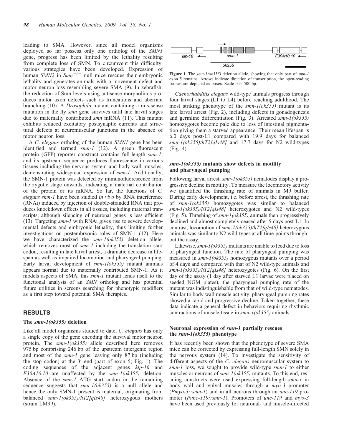leading to SMA. However, since all model organisms deployed so far possess only one ortholog of the SMN1 gene, progress has been limited by the lethality resulting from complete loss of SMN. To circumvent this difficulty, various strategies have been developed. Expression of human  $SMN2$  in  $Smn^{-/-}$  null mice rescues their embryonic lethality and generates animals with a movement defect and motor neuron loss resembling severe SMA (9). In zebrafish, the reduction of Smn levels using antisense morpholinos produces motor axon defects such as truncations and aberrant branching (10). A Drosophila mutant containing a mis-sense mutation in the fly smn gene survives until late larval stages due to maternally contributed smn mRNA (11). This mutant exhibits reduced excitatory postsynaptic currents and structural defects at neuromuscular junctions in the absence of motor neuron loss.

A C. elegans ortholog of the human SMN1 gene has been identified and termed smn-1 (12). A green fluorescent protein (GFP) reporter construct contains full-length smn-1, and its upstream sequence produces fluorescence in various tissues including the nervous system and body wall muscles, demonstrating widespread expression of smn-1. Additionally, the SMN-1 protein was detected by immunofluorescence from the zygotic stage onwards, indicating a maternal contribution of the protein or its mRNA. So far, the functions of C. elegans smn-1 have been studied in vivo by RNA interference (RNAi) induced by injection of double-stranded RNA that produces knockdown effects in all tissues, including maternal transcripts, although silencing of neuronal genes is less efficient (13). Targeting smn-1 with RNAi gives rise to severe developmental defects and embryonic lethality, thus limiting further investigations on postembryonic roles of SMN-1 (12). Here we have characterized the smn-1(ok355) deletion allele, which removes most of smn-1 including the translation start codon, resulting in late larval arrest, a dramatic decrease in lifespan as well as impaired locomotion and pharyngeal pumping. Early larval development of smn-1(ok355) mutant animals appears normal due to maternally contributed SMN-1. As it models aspects of SMA, this smn-1 mutant lends itself to the functional analysis of an SMN ortholog and has potential future utilities in screens searching for phenotypic modifiers as a first step toward potential SMA therapies.

## RESULTS

## The smn-1(ok355) deletion

Like all model organisms studied to date, C. elegans has only a single copy of the gene encoding the survival motor neuron protein. The smn-1(ok355) allele described here removes 975 bp comprising 246 bp of the upstream intergenic region and most of the smn-1 gene leaving only 87 bp (including the stop codon) at the  $3^7$  end (part of exon 5; Fig. 1). The coding sequences of the adjacent genes klp-16 and F30A10.10 are unaffected by the smn-1(ok355) deletion. Absence of the smn-1 ATG start codon in the remaining sequence suggests that  $smn-1(ok355)$  is a null allele and hence the only SMN-1 present is maternal, originating from balanced smn-1(ok355)/hT2[qIs48] heterozygous mothers (strain LM99).



Figure 1. The smn-1(ok355) deletion allele, showing that only part of smn-1 exon 5 remains. Arrows indicate direction of transcription, the open-reading frames are depicted as boxes. Scale bar: 500 bp.

Caenorhabditis elegans wild-type animals progress through four larval stages (L1 to L4) before reaching adulthood. The most striking phenotype of the smn-1(ok355) mutant is its late larval arrest (Fig. 2), including defects in gonadogenesis and germline differentiation (Fig. 3). Arrested smn-1(ok355) homozygotes become pale due to loss of intestinal pigmentation giving them a starved appearance. Their mean lifespan is 6.0 days post-L1 compared with 19.9 days for balanced  $smn-1(ok355)/hT2[qIs48]$  and 17.7 days for N2 wild-types (Fig. 4).

## smn-1(ok355) mutants show defects in motility and pharyngeal pumping

Following larval arrest, smn-1(ok355) nematodes display a progressive decline in motility. To measure the locomotory activity we quantified the thrashing rate of animals in M9 buffer. During early development, i.e. before arrest, the thrashing rate of smn-1(ok355) homozygotes was similar to balanced smn-1(ok355)/hT2[qIs48] heterozygotes and N2 wild-types (Fig. 5). Thrashing of  $smn-1(ok355)$  animals then progressively declined and almost completely ceased after 5 days post-L1. In contrast, locomotion of smn-1(ok355)/hT2[qIs48] heterozygous animals was similar to N2 wild-types at all time-points throughout the assay.

Likewise,  $smn-1(\alpha k355)$  mutants are unable to feed due to loss of pharyngeal function. The rate of pharyngeal pumping was measured in smn-1(ok355) homozygous mutants over a period of 4 days and compared with that of N2 wild-type animals and  $smn-1(ok355)/hT2[qIs48]$  heterozygotes (Fig. 6). On the first day of the assay (1 day after starved L1 larvae were placed on seeded NGM plates), the pharyngeal pumping rate of the mutant was indistinguishable from that of wild-type nematodes. Similar to body wall muscle activity, pharyngeal pumping rates showed a rapid and progressive decline. Taken together, these data indicate a general defect in behaviors requiring rhythmic contractions of muscle tissue in smn-1(ok355) animals.

## Neuronal expression of smn-1 partially rescues the smn-1(ok355) phenotype

It has recently been shown that the phenotype of severe SMA mice can be corrected by expressing full-length SMN solely in the nervous system (14). To investigate the sensitivity of different aspects of the *C. elegans* neuromuscular system to smn-1 loss, we sought to provide wild-type smn-1 to either muscles or neurons of smn-1(ok355) mutants. To this end, rescuing constructs were used expressing full-length smn-1 in body wall and vulval muscles through a myo-3 promoter (Pmyo-3::smn-1) and in all neurons through an unc-119 promoter (Punc-119::smn-1). Promoters of unc-119 and myo-3 have been used previously for neuronal- and muscle-directed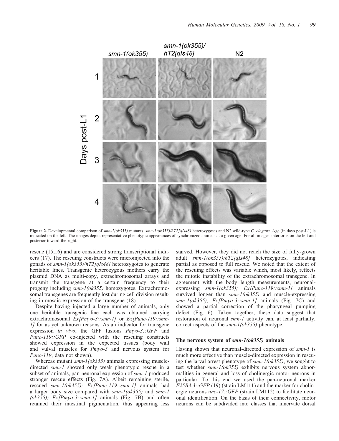

Figure 2. Developmental comparison of smn-1(ok355) mutants, smn-1(ok355)/hT2[qIs48] heterozygotes and N2 wild-type C. elegans. Age (in days post-L1) is indicated on the left. The images depict representative phenotypic appearances of synchronized animals at a given age. For all images anterior is on the left and posterior toward the right.

rescue (15,16) and are considered strong transcriptional inducers (17). The rescuing constructs were microinjected into the gonads of smn-1(ok355)/hT2[qIs48] heterozygotes to generate heritable lines. Transgenic heterozygous mothers carry the plasmid DNA as multi-copy, extrachromosomal arrays and transmit the transgene at a certain frequency to their progeny including smn-1(ok355) homozygotes. Extrachromosomal transgenes are frequently lost during cell division resulting in mosaic expression of the transgene (18).

Despite having injected a large number of animals, only one heritable transgenic line each was obtained carrying extrachromosomal  $Ex/ Pm$ vo-3::smn-1] or  $Ex/ Punc-119$ ::smn-1] for as yet unknown reasons. As an indicator for transgene expression in vivo, the GFP fusions Pmyo-3::GFP and Punc-119::GFP co-injected with the rescuing constructs showed expression in the expected tissues (body wall and vulval muscles for Pmyo-3 and nervous system for Punc-119, data not shown).

Whereas mutant  $smn-1(ok355)$  animals expressing muscledirected smn-1 showed only weak phenotypic rescue in a subset of animals, pan-neuronal expression of smn-1 produced stronger rescue effects (Fig. 7A). Albeit remaining sterile, rescued smn-1(ok355); Ex[Punc-119::smn-1] animals had a larger body size compared with  $smn-1(ok355)$  and  $smn-1$  $(ok355)$ ;  $Ex/ Pmyo-3::smn-1$  animals (Fig. 7B) and often retained their intestinal pigmentation, thus appearing less

starved. However, they did not reach the size of fully-grown adult smn-1(ok355)/hT2[qIs48] heterozygotes, indicating partial as opposed to full rescue. We noted that the extent of the rescuing effects was variable which, most likely, reflects the mitotic instability of the extrachromosomal transgene. In agreement with the body length measurements, neuronalexpressing smn-1(ok355); Ex[Punc-119::smn-1] animals survived longer than  $smn-l(ok355)$  and muscle-expressing smn-1(ok355); Ex[Pmyo-3::smn-1] animals (Fig. 7C) and showed a partial correction of the pharyngeal pumping defect (Fig. 6). Taken together, these data suggest that restoration of neuronal *smn-1* activity can, at least partially, correct aspects of the smn-1(ok355) phenotype.

## The nervous system of smn-1(ok355) animals

Having shown that neuronal-directed expression of smn-1 is much more effective than muscle-directed expression in rescuing the larval arrest phenotype of  $smn-1(ok355)$ , we sought to test whether smn-1(ok355) exhibits nervous system abnormalities in general and loss of cholinergic motor neurons in particular. To this end we used the pan-neuronal marker F25B3.3::GFP (19) (strain LM111) and the marker for cholinergic neurons *unc-17::GFP* (strain LM112) to facilitate neuronal identification. On the basis of their connectivity, motor neurons can be subdivided into classes that innervate dorsal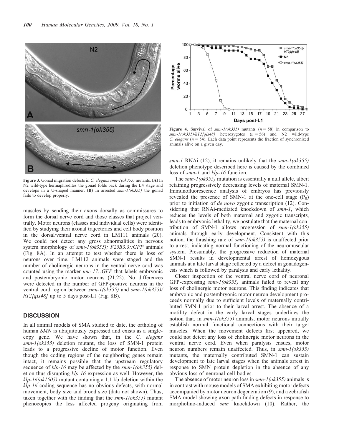

Figure 3. Gonad migration defects in C. elegans smn-1(ok355) mutants. (A) In N2 wild-type hermaphrodites the gonad folds back during the L4 stage and develops in a U-shaped manner. (B) In arrested  $smn-1(ok355)$  the gonad fails to develop properly.

muscles by sending their axons dorsally as commissures to form the dorsal nerve cord and those classes that project ventrally. Motor neurons (classes and individual cells) were identified by studying their axonal trajectories and cell body position in the dorsal/ventral nerve cord in LM111 animals (20). We could not detect any gross abnormalities in nervous system morphology of smn-1(ok355); F25B3.3::GFP animals (Fig. 8A). In an attempt to test whether there is loss of neurons over time, LM112 animals were staged and the number of cholinergic neurons in the ventral nerve cord was counted using the marker unc-17::GFP that labels embryonic and postembryonic motor neurons (21,22). No differences were detected in the number of GFP-positive neurons in the ventral cord region between smn-1(ok355) and smn-1(ok355)/  $hT2$ [qIs48] up to 5 days post-L1 (Fig. 8B).

## **DISCUSSION**

In all animal models of SMA studied to date, the ortholog of human SMN is ubiquitously expressed and exists as a singlecopy gene. We have shown that, in the C. elegans smn-1(ok355) deletion mutant, the loss of SMN-1 protein leads to a progressive decline of motor function. Even though the coding regions of the neighboring genes remain intact, it remains possible that the upstream regulatory sequence of klp-16 may be affected by the smn-1(ok355) deletion thus disrupting klp-16 expression as well. However, the  $klp-16(ok1505)$  mutant containing a 1.1 kb deletion within the klp-16 coding sequence has no obvious defects, with normal movement, body size and brood size (data not shown). Thus, taken together with the finding that the  $smn-l(ok355)$  mutant phenocopies the less affected progeny originating from



Figure 4. Survival of  $smn-l(ok355)$  mutants  $(n = 58)$  in comparison to  $smn-1(ok355)/hT2[qIs48]$  heterozygotes  $(n = 56)$  and N2 wild-type C. elegans ( $n = 54$ ). Each data point represents the fraction of synchronized animals alive on a given day.

smn-1 RNAi (12), it remains unlikely that the smn- $1(ok355)$ deletion phenotype described here is caused by the combined loss of *smn-1* and  $klp-16$  function.

The smn-1(ok355) mutation is essentially a null allele, albeit retaining progressively decreasing levels of maternal SMN-1. Immunofluorescence analysis of embryos has previously revealed the presence of SMN-1 at the one-cell stage  $(P_0)$ prior to initiation of *de novo* zygotic transcription (12). Considering that RNAi-mediated knockdown of smn-1, which reduces the levels of both maternal and zygotic transcripts, leads to embryonic lethality, we postulate that the maternal contribution of SMN-1 allows progression of  $smn-1(ok355)$ animals through early development. Consistent with this notion, the thrashing rate of smn-1(ok355) is unaffected prior to arrest, indicating normal functioning of the neuromuscular system. Presumably, the progressive reduction of maternal SMN-1 results in developmental arrest of homozygous animals at a late larval stage reflected by a defect in gonadogenesis which is followed by paralysis and early lethality.

Closer inspection of the ventral nerve cord of neuronal GFP-expressing  $smn-1(ok355)$  animals failed to reveal any loss of cholinergic motor neurons. This finding indicates that embryonic and postembryonic motor neuron development proceeds normally due to sufficient levels of maternally contributed SMN-1 prior to their larval arrest. The absence of a motility defect in the early larval stages underlines the notion that, in  $smn-1(\alpha k355)$  animals, motor neurons initially establish normal functional connections with their target muscles. When the movement defects first appeared, we could not detect any loss of cholinergic motor neurons in the ventral nerve cord. Even when paralysis ensues, motor neuron numbers remain unaffected. Thus, in smn-1(ok355) mutants, the maternally contributed SMN-1 can sustain development to late larval stages when the animals arrest in response to SMN protein depletion in the absence of any obvious loss of neuronal cell bodies.

The absence of motor neuron loss in  $smn-1(ok355)$  animals is in contrast with mouse models of SMA exhibiting motor defects accompanied by motor neuron degeneration (9), and a zebrafish SMA model showing axon path-finding defects in response to morpholino-induced *smn* knockdown (10). Rather, the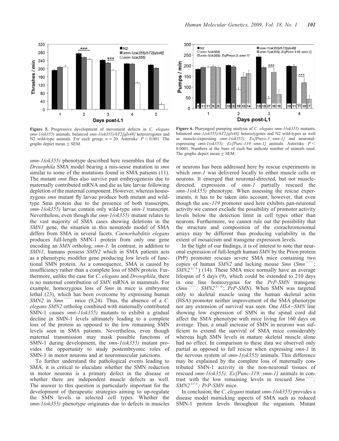

Figure 5. Progressive development of movement defects in C. elegans smn-1(ok355) animals, balanced smn-1(ok355)/hT2[qIs48] heterozygotes and N2 wild-type animals. For each group,  $n = 20$ . Asterisks:  $P \le 0.001$ . The graphs depict mean  $\pm$  SEM.

smn-1(ok355) phenotype described here resembles that of the Drosophila SMA model bearing a mis-sense mutation in smn similar to some of the mutations found in SMA patients (11). The mutant *smn* flies also survive past embryogenesis due to maternally contributed mRNA and die as late larvae following depletion of the maternal component. However, whereas homozygous smn mutant fly larvae produce both mutant and wildtype Smn protein due to the presence of both transcripts, smn-1(ok355) larvae contain only wild-type smn-1 transcript. Nevertheless, even though the *smn-1(ok355)* mutant relates to the vast majority of SMA cases showing deletions in the SMN1 gene, the situation in this nematode model of SMA differs from SMA in several facets. Caenorhabditis elegans produces full-length SMN-1 protein from only one gene encoding an SMN ortholog, smn-1. In contrast, in addition to SMN1, humans possess SMN2 which in SMA patients acts as a phenotypic modifier gene producing low levels of functional SMN protein. As a consequence, SMA is caused by insufficiency rather than a complete loss of SMN protein. Furthermore, unlike the case for C. elegans and Drosophila, there is no maternal contribution of SMN mRNA in mammals. For example, homozygous loss of Smn in mice is embryonic lethal (23), which has been overcome by expressing human SMN2 in  $Smn^{-/-}$  mice (9,24). Thus, the absence of a C. elegans SMN2 ortholog combined with maternally contributed SMN-1 causes  $smn-1(ok355)$  mutants to exhibit a gradual decline in SMN-1 levels ultimately leading to a complete loss of the protein as opposed to the low remaining SMN levels seen in SMA patients. Nevertheless, even though maternal transmission may mask possible functions of SMN-1 during development, the smn-1(ok355) mutant provides the opportunity to study postembryonic roles of SMN-1 in motor neurons and at neuromuscular junctions.

To further understand the pathological events leading to SMA, it is critical to elucidate whether the SMN reduction in motor neurons is a primary defect in the disease or whether there are independent muscle defects as well. The answer to this question is particularly important for the development of therapeutic strategies aiming to up-regulate the SMN levels in selected cell types. Whether the smn-1(ok355) phenotype originates due to defects in muscles



Figure 6. Pharyngeal pumping analysis of C. elegans smn-1(ok355) mutants, balanced smn-1(ok355)/hT2[qIs48] heterozygotes and N2 wild-types as well as muscle-expressing smn-1(ok355); Ex[Pmyo-3::smn-1] and neuronalexpressing smn-1(ok355); Ex[Punc-119::smn-1] animals. Asterisks:  $P$  < 0.0001. Numbers at the base of each bar indicate number of animals used. The graphs depict mean  $\pm$  SEM.

or neurons has been addressed here by rescue experiments in which smn-1 was delivered locally to either muscle cells or neurons. It emerged that neuronal-directed, but not muscledirected, expression of smn-1 partially rescued the smn-1(ok355) phenotype. When assessing the rescue experiments, it has to be taken into account, however, that even though the unc-119 promoter used here exhibits pan-neuronal activity we cannot exclude the possibility of promoter activity levels below the detection limit in cell types other than neurons. Furthermore, we cannot rule out the possibility that the structure and composition of the extrachromosomal arrays may be different thus producing variability in the extent of mosaicism and transgene expression levels.

In the light of our findings, it is of interest to note that neuronal expression of full-length human SMN by the Prion protein (PrP) promoter rescues severe SMA mice containing two copies of human  $SMN2$  and lacking mouse  $Smn$  ( $Smn^{-1}$ )  $S\overline{M}N2^{+/+}$ ) (14). These SMA mice normally have an average lifespan of 5 days (9), which could be extended to 210 days in one line homozygous for the PrP-SMN transgene  $(Smn^{-/-}$ ; SMN2<sup>+/+</sup>; PrP-SMN). When SMN was targeted only to skeletal muscle using the human skeletal actin (HSA) promoter neither improvement of the SMA phenotype nor any extension of survival was seen. One HSA–SMN line showing low expression of SMN in the spinal cord did affect the SMA phenotype with mice living for 160 days on average. Thus, a small increase of SMN in neurons was sufficient to extend the survival of SMA mice considerably whereas high SMN levels in mature skeletal muscle alone had no effect. In comparison to these data we observed only partial as opposed to full rescue when expressing smn-1 in the nervous system of  $smn-1(ok355)$  animals. This difference may be explained by the complete loss of maternally contributed SMN-1 activity in the non-neuronal tissues of rescued smn-1(ok355); Ex[Punc-119::smn-1] animals in contrast with the low remaining levels in rescued  $Smn^{-1}$ ;  $SMN2^{+/+}$ ; PrP-SMN mice.

In conclusion, the C. elegans mutant smn-1(ok355) provides a disease model mimicking aspects of SMA such as reduced SMN-1 protein levels throughout the organism. Mutant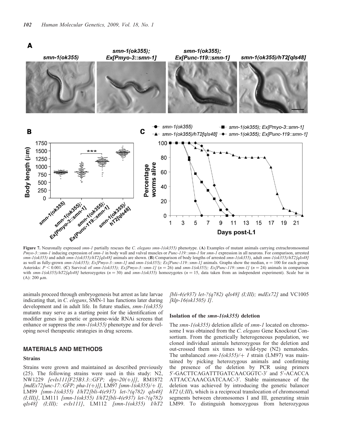

Pmyo-3::smn-1 inducing expression of smn-1 in body wall and vulval muscles or Punc-119::smn-1 for smn-1 expression in all neurons. For comparison, arrested smn-1(ok355) and adult smn-1(ok355)/hT2[qIs48] animals are shown. (B) Comparison of body lengths of arrested smn-1(ok355), adult smn-1(ok355)/hT2[qIs48] as well as fully-grown smn-1(ok355); Ex[Pmyo-3::smn-1] and smn-1(ok355); Ex[Punc-119::smn-1] animals. Graphs show the median,  $n = 100$  for each group. Asterisks:  $P < 0.001$ . (C) Survival of smn-1(ok355); Ex[Pmyo-3::smn-1] (n = 26) and smn-1(ok355); Ex[Punc-119::smn-1] (n = 24) animals in comparison with  $smn-1(\alpha k355)/\hbar T2[qIs48]$  heterozygotes (n = 30) and  $smn-1(\alpha k355)$  homozygotes (n = 15, data taken from an independent experiment). Scale bar in (A):  $200 \mu m$ .

animals proceed through embryogenesis but arrest as late larvae indicating that, in C. elegans, SMN-1 has functions later during development and in adult life. In future studies,  $smn-1(ok355)$ mutants may serve as a starting point for the identification of modifier genes in genetic or genome-wide RNAi screens that enhance or suppress the smn-1(ok355) phenotype and for developing novel therapeutic strategies in drug screens.

## MATERIALS AND METHODS

#### Strains

Strains were grown and maintained as described previously (25). The following strains were used in this study: N2, NW1229 [evIs111[F25B3.3::GFP; dpy-20(+)]], RM1872  $[mdEx72[unc-17::GFP; pha-1(+)]], LM97 [smn-1(ok355)/+1],$ LM99 [smn-1(ok355) I/hT2[bli-4(e937) let-?(q782) qIs48] (I;III)], LM111 [smn-1(ok355) I/hT2[bli-4(e937) let-?(q782) qIs48] (I;III); evIs111], LM112 [smn-1(ok355) I/hT2 [bli-4(e937) let-?(q782) qIs48] (I;III); mdEx72] and VC1005 [klp-16(ok1505) I].

#### Isolation of the smn-1(ok355) deletion

The smn-1(ok355) deletion allele of smn-1 located on chromosome I was obtained from the C. elegans Gene Knockout Consortium. From the genetically heterogeneous population, we cloned individual animals heterozygous for the deletion and out-crossed them six times to wild-type (N2) nematodes. The unbalanced smn- $1(ok355)/+ I$  strain (LM97) was maintained by picking heterozygous animals and confirming the presence of the deletion by PCR using primers 5'-GACTTCAGATTTGATCAACGGTC-3' and 5'-ACACCA ATTACCAAACGATCAAC-3'. Stable maintenance of the deletion was achieved by introducing the genetic balancer  $hT2$  (I;III), which is a reciprocal translocation of chromosomal segments between chromosomes I and III, generating strain LM99. To distinguish homozygous from heterozygous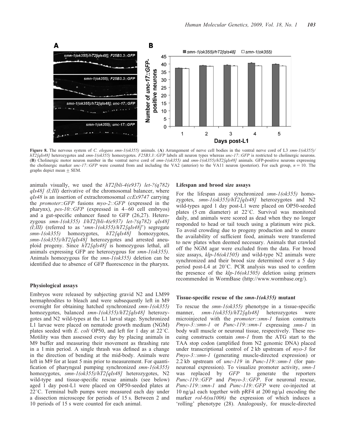

Figure 8. The nervous system of C. elegans smn-1(ok355) animals. (A) Arrangement of nerve cell bodies in the ventral nerve cord of L3 smn-1(ok355)/  $hT2$ [qIs48] heterozygotes and smn-1(ok355) homozygotes. F25B3.3::GFP labels all neuron types whereas unc-17::GFP is restricted to cholinergic neurons. (B) Cholinergic motor neuron number in the ventral nerve cord of smn-1(ok355) and smn-1(ok355)/hT2[qIs48] animals. GFP-positive neurons expressing the cholinergic marker *unc-17::GFP* were counted from and including the VA2 (anterior) to the VA11 neuron (posterior). For each group,  $n = 10$ . The graphs depict mean + SEM.

animals visually, we used the  $hT2[bli-4(e937)$  let-?(q782)  $qIs48$ ] (I;III) derivative of the chromosomal balancer, where qIs48 is an insertion of extrachromosomal ccEx9747 carrying the promoter::GFP fusions myo-2::GFP (expressed in the pharynx),  $pes-10::GFP$  (expressed in 4–60 cell embryos) and a gut-specific enhancer fused to GFP (26,27). Heterozygous smn-1(ok355) I/hT2[bli-4(e937) let-?(q782) qIs48]  $(I;III)$  (referred to as 'smn-1(ok355)/hT2[qIs48]') segregate smn-1(ok355) homozygotes, hT2[qIs48] homozygotes, smn-1(ok355)/hT2[qIs48] heterozygotes and arrested aneuploid progeny. Since hT2[qIs48] is homozygous lethal, all animals expressing GFP are heterozygous for smn-1(ok355). Animals homozygous for the  $smn-l(ok355)$  deletion can be identified due to absence of GFP fluorescence in the pharynx.

## Physiological assays

Embryos were released by subjecting gravid N2 and LM99 hermaphrodites to bleach and were subsequently left in M9 overnight for obtaining hatched synchronized smn-1(ok355) homozygotes, balanced smn-1(ok355)/hT2[qIs48] heterozygotes and N2 wild-types at the L1 larval stage. Synchronized L1 larvae were placed on nematode growth medium (NGM) plates seeded with E. coli OP50, and left for 1 day at  $22^{\circ}$ C. Motility was then assessed every day by placing animals in M9 buffer and measuring their movement as thrashing rate in a 1 min period. A single thrash was defined as a change in the direction of bending at the mid-body. Animals were left in M9 for at least 5 min prior to measurement. For quantification of pharyngeal pumping synchronized smn-1(ok355) homozygotes, smn-1(ok355)/hT2[qIs48] heterozygotes, N2 wild-type and tissue-specific rescue animals (see below) aged 1 day post-L1 were placed on OP50-seeded plates at  $22^{\circ}$ C. Terminal bulb pumps were measured each day under a dissection microscope for periods of 15 s. Between 2 and 10 periods of 15 s were counted for each animal.

#### Lifespan and brood size assays

For the lifespan assay synchronized smn-1(ok355) homozygotes, smn-1(ok355)/hT2[qIs48] heterozygotes and N2 wild-types aged 1 day post-L1 were placed on OP50-seeded plates (5 cm diameter) at  $22^{\circ}$ C. Survival was monitored daily, and animals were scored as dead when they no longer responded to head or tail touch using a platinum wire pick. To avoid crowding due to progeny production and to ensure the availability of sufficient food, animals were transferred to new plates when deemed necessary. Animals that crawled off the NGM agar were excluded from the data. For brood size assays,  $klp-16(\alpha k1505)$  and wild-type N2 animals were synchronized and their brood size determined over a 5 day period post-L4 at 20°C. PCR analysis was used to confirm the presence of the  $klp-16(\alpha k1505)$  deletion using primers recommended in WormBase (http://www.wormbase.org/).

#### Tissue-specific rescue of the smn-1(ok355) mutant

To rescue the  $smn-l(ok355)$  phenotype in a tissue-specific manner, smn-1(ok355)/hT2[qIs48] heterozygotes were microinjected with the *promoter::smn-1* fusion constructs Pmyo-3::smn-1 or Punc-119::smn-1 expressing smn-1 in body wall muscle or neuronal tissue, respectively. These rescuing constructs contain smn-1 from the ATG start to the TAA stop codon (amplified from N2 genomic DNA) placed under transcriptional control of 2 kb upstream of *myo-3* for Pmyo-3::smn-1 (generating muscle-directed expression) or 2.2 kb upstream of unc-119 in Punc-119::smn-1 (for panneuronal expression). To visualize promoter activity, *smn-1* was replaced by GFP to generate the reporters Punc-119::GFP and Pmyo-3::GFP. For neuronal rescue, Punc-119::smn-1 and Punc-119::GFP were co-injected at 10 ng/ $\mu$ l each together with pRF4 at 200 ng/ $\mu$ l encoding the marker *rol-6(su1006)* the expression of which induces a 'rolling' phenotype (28). Analogously, for muscle-directed